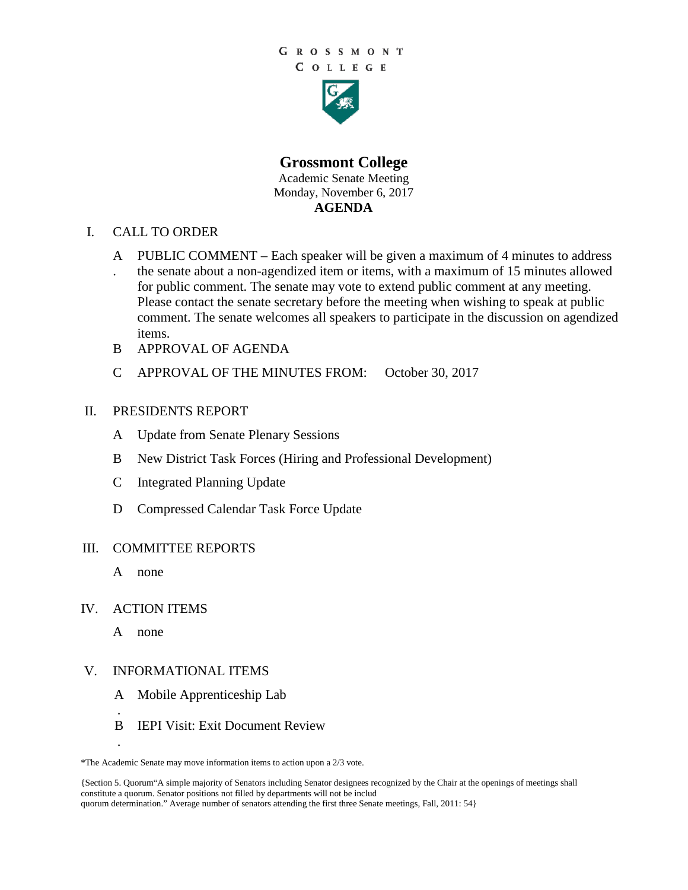

**Grossmont College** Academic Senate Meeting Monday, November 6, 2017 **AGENDA**

- I. CALL TO ORDER
	- A PUBLIC COMMENT Each speaker will be given a maximum of 4 minutes to address . the senate about a non-agendized item or items, with a maximum of 15 minutes allowed for public comment. The senate may vote to extend public comment at any meeting. Please contact the senate secretary before the meeting when wishing to speak at public comment. The senate welcomes all speakers to participate in the discussion on agendized items.
	- B APPROVAL OF AGENDA
	- C APPROVAL OF THE MINUTES FROM: October 30, 2017

## II. PRESIDENTS REPORT

- A Update from Senate Plenary Sessions
- B New District Task Forces (Hiring and Professional Development)
- C Integrated Planning Update
- D Compressed Calendar Task Force Update

## III. COMMITTEE REPORTS

A none

## IV. ACTION ITEMS

A none

.

.

## V. INFORMATIONAL ITEMS

- A Mobile Apprenticeship Lab
- B IEPI Visit: Exit Document Review

<sup>\*</sup>The Academic Senate may move information items to action upon a 2/3 vote.